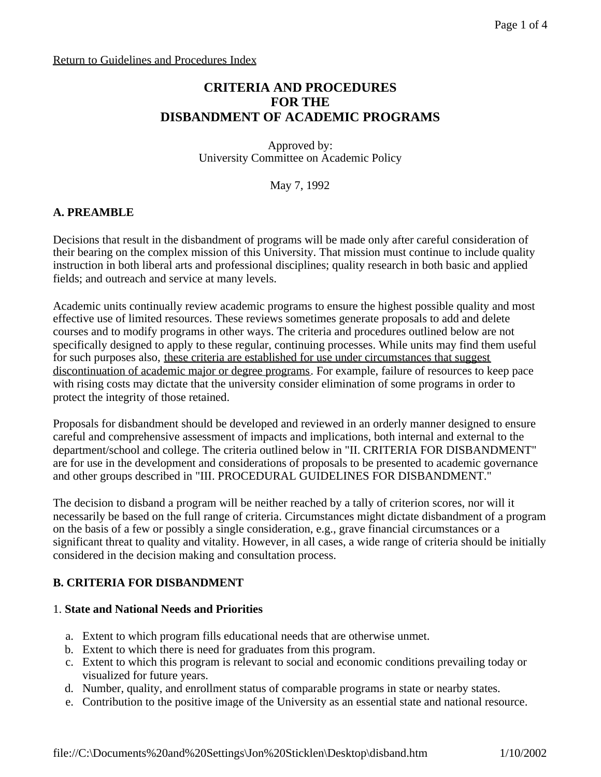## **CRITERIA AND PROCEDURES FOR THE DISBANDMENT OF ACADEMIC PROGRAMS**

Approved by: University Committee on Academic Policy

May 7, 1992

## **A. PREAMBLE**

Decisions that result in the disbandment of programs will be made only after careful consideration of their bearing on the complex mission of this University. That mission must continue to include quality instruction in both liberal arts and professional disciplines; quality research in both basic and applied fields; and outreach and service at many levels.

Academic units continually review academic programs to ensure the highest possible quality and most effective use of limited resources. These reviews sometimes generate proposals to add and delete courses and to modify programs in other ways. The criteria and procedures outlined below are not specifically designed to apply to these regular, continuing processes. While units may find them useful for such purposes also, these criteria are established for use under circumstances that suggest discontinuation of academic major or degree programs. For example, failure of resources to keep pace with rising costs may dictate that the university consider elimination of some programs in order to protect the integrity of those retained.

Proposals for disbandment should be developed and reviewed in an orderly manner designed to ensure careful and comprehensive assessment of impacts and implications, both internal and external to the department/school and college. The criteria outlined below in "II. CRITERIA FOR DISBANDMENT" are for use in the development and considerations of proposals to be presented to academic governance and other groups described in "III. PROCEDURAL GUIDELINES FOR DISBANDMENT."

The decision to disband a program will be neither reached by a tally of criterion scores, nor will it necessarily be based on the full range of criteria. Circumstances might dictate disbandment of a program on the basis of a few or possibly a single consideration, e.g., grave financial circumstances or a significant threat to quality and vitality. However, in all cases, a wide range of criteria should be initially considered in the decision making and consultation process.

## **B. CRITERIA FOR DISBANDMENT**

#### 1. **State and National Needs and Priorities**

- a. Extent to which program fills educational needs that are otherwise unmet.
- b. Extent to which there is need for graduates from this program.
- c. Extent to which this program is relevant to social and economic conditions prevailing today or visualized for future years.
- d. Number, quality, and enrollment status of comparable programs in state or nearby states.
- e. Contribution to the positive image of the University as an essential state and national resource.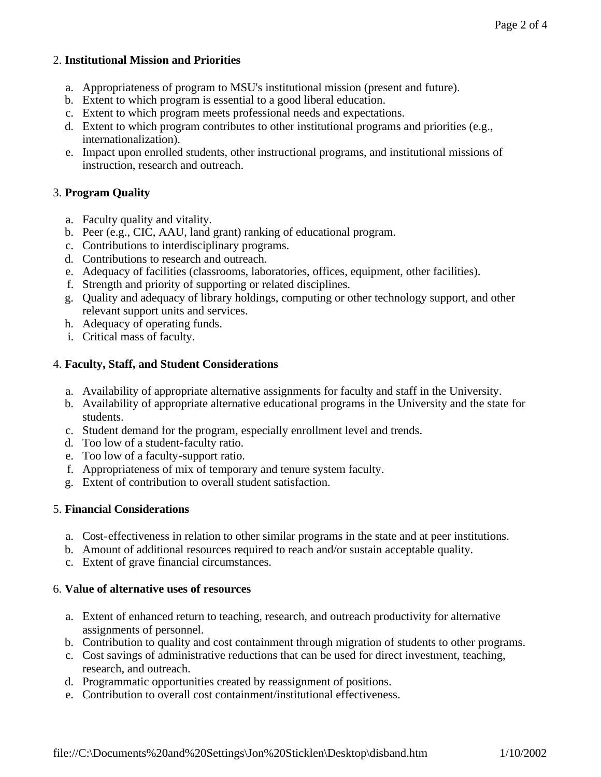### 2. **Institutional Mission and Priorities**

- a. Appropriateness of program to MSU's institutional mission (present and future).
- b. Extent to which program is essential to a good liberal education.
- c. Extent to which program meets professional needs and expectations.
- d. Extent to which program contributes to other institutional programs and priorities (e.g., internationalization).
- e. Impact upon enrolled students, other instructional programs, and institutional missions of instruction, research and outreach.

#### 3. **Program Quality**

- a. Faculty quality and vitality.
- b. Peer (e.g., CIC, AAU, land grant) ranking of educational program.
- c. Contributions to interdisciplinary programs.
- d. Contributions to research and outreach.
- e. Adequacy of facilities (classrooms, laboratories, offices, equipment, other facilities).
- f. Strength and priority of supporting or related disciplines.
- g. Quality and adequacy of library holdings, computing or other technology support, and other relevant support units and services.
- h. Adequacy of operating funds.
- i. Critical mass of faculty.

#### 4. **Faculty, Staff, and Student Considerations**

- a. Availability of appropriate alternative assignments for faculty and staff in the University.
- b. Availability of appropriate alternative educational programs in the University and the state for students.
- c. Student demand for the program, especially enrollment level and trends.
- d. Too low of a student-faculty ratio.
- e. Too low of a faculty-support ratio.
- f. Appropriateness of mix of temporary and tenure system faculty.
- g. Extent of contribution to overall student satisfaction.

#### 5. **Financial Considerations**

- a. Cost-effectiveness in relation to other similar programs in the state and at peer institutions.
- b. Amount of additional resources required to reach and/or sustain acceptable quality.
- c. Extent of grave financial circumstances.

#### 6. **Value of alternative uses of resources**

- a. Extent of enhanced return to teaching, research, and outreach productivity for alternative assignments of personnel.
- b. Contribution to quality and cost containment through migration of students to other programs.
- c. Cost savings of administrative reductions that can be used for direct investment, teaching, research, and outreach.
- d. Programmatic opportunities created by reassignment of positions.
- e. Contribution to overall cost containment/institutional effectiveness.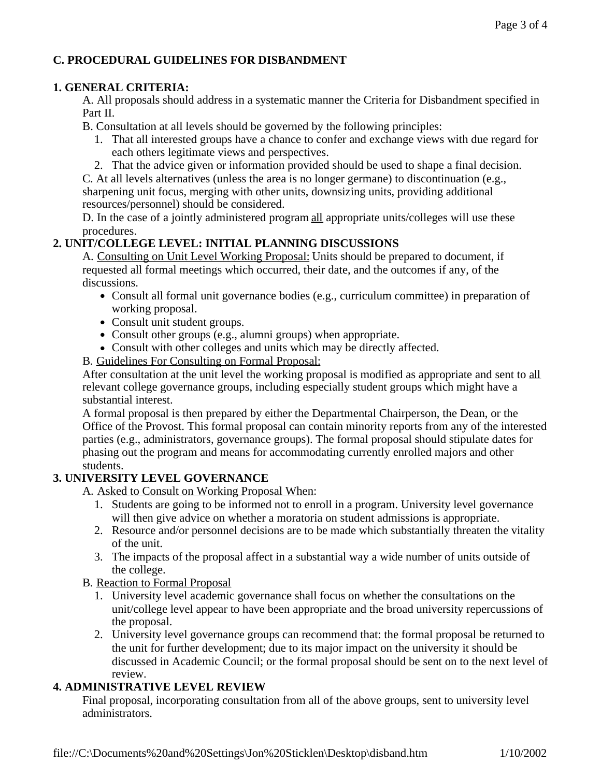## **C. PROCEDURAL GUIDELINES FOR DISBANDMENT**

## **1. GENERAL CRITERIA:**

A. All proposals should address in a systematic manner the Criteria for Disbandment specified in Part II.

B. Consultation at all levels should be governed by the following principles:

- 1. That all interested groups have a chance to confer and exchange views with due regard for each others legitimate views and perspectives.
- 2. That the advice given or information provided should be used to shape a final decision.

C. At all levels alternatives (unless the area is no longer germane) to discontinuation (e.g., sharpening unit focus, merging with other units, downsizing units, providing additional resources/personnel) should be considered.

D. In the case of a jointly administered program all appropriate units/colleges will use these procedures.

# **2. UNIT/COLLEGE LEVEL: INITIAL PLANNING DISCUSSIONS**

A. Consulting on Unit Level Working Proposal: Units should be prepared to document, if requested all formal meetings which occurred, their date, and the outcomes if any, of the discussions.

- Consult all formal unit governance bodies (e.g., curriculum committee) in preparation of working proposal.
- Consult unit student groups.
- Consult other groups (e.g., alumni groups) when appropriate.
- Consult with other colleges and units which may be directly affected.
- B. Guidelines For Consulting on Formal Proposal:

After consultation at the unit level the working proposal is modified as appropriate and sent to all relevant college governance groups, including especially student groups which might have a substantial interest.

A formal proposal is then prepared by either the Departmental Chairperson, the Dean, or the Office of the Provost. This formal proposal can contain minority reports from any of the interested parties (e.g., administrators, governance groups). The formal proposal should stipulate dates for phasing out the program and means for accommodating currently enrolled majors and other students.

# **3. UNIVERSITY LEVEL GOVERNANCE**

- A. Asked to Consult on Working Proposal When:
	- 1. Students are going to be informed not to enroll in a program. University level governance will then give advice on whether a moratoria on student admissions is appropriate.
	- 2. Resource and/or personnel decisions are to be made which substantially threaten the vitality of the unit.
	- 3. The impacts of the proposal affect in a substantial way a wide number of units outside of the college.
- B. Reaction to Formal Proposal
	- 1. University level academic governance shall focus on whether the consultations on the unit/college level appear to have been appropriate and the broad university repercussions of the proposal.
	- 2. University level governance groups can recommend that: the formal proposal be returned to the unit for further development; due to its major impact on the university it should be discussed in Academic Council; or the formal proposal should be sent on to the next level of review.

# **4. ADMINISTRATIVE LEVEL REVIEW**

Final proposal, incorporating consultation from all of the above groups, sent to university level administrators.